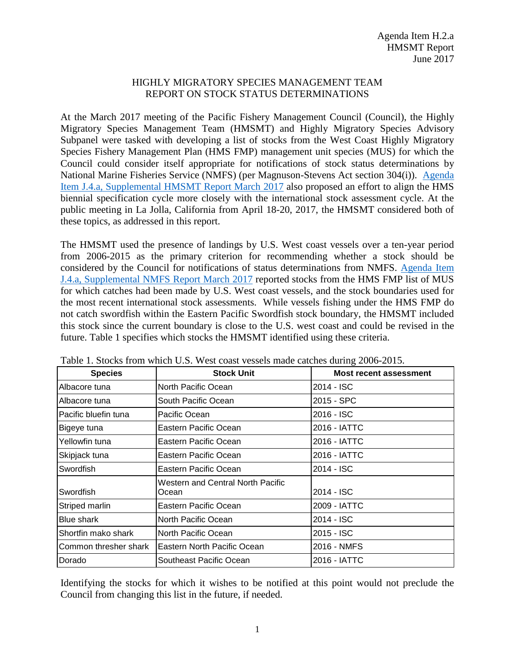## HIGHLY MIGRATORY SPECIES MANAGEMENT TEAM REPORT ON STOCK STATUS DETERMINATIONS

At the March 2017 meeting of the Pacific Fishery Management Council (Council), the Highly Migratory Species Management Team (HMSMT) and Highly Migratory Species Advisory Subpanel were tasked with developing a list of stocks from the West Coast Highly Migratory Species Fishery Management Plan (HMS FMP) management unit species (MUS) for which the Council could consider itself appropriate for notifications of stock status determinations by National Marine Fisheries Service (NMFS) (per Magnuson-Stevens Act section 304(i)). [Agenda](http://www.pcouncil.org/wp-content/uploads/2017/03/J4a_Sup_HMSMT_Rpt_Mar2017BB.pdf)  Item J.4.a, [Supplemental HMSMT Report](http://www.pcouncil.org/wp-content/uploads/2017/03/J4a_Sup_HMSMT_Rpt_Mar2017BB.pdf) March 2017 also proposed an effort to align the HMS biennial specification cycle more closely with the international stock assessment cycle. At the public meeting in La Jolla, California from April 18-20, 2017, the HMSMT considered both of these topics, as addressed in this report.

The HMSMT used the presence of landings by U.S. West coast vessels over a ten-year period from 2006-2015 as the primary criterion for recommending whether a stock should be considered by the Council for notifications of status determinations from NMFS. [Agenda Item](http://www.pcouncil.org/wp-content/uploads/2017/03/J4a_Sup_NMFS_Rpt_Mar2017BB.pdf)  J.4.a, [Supplemental NMFS Report March 2017](http://www.pcouncil.org/wp-content/uploads/2017/03/J4a_Sup_NMFS_Rpt_Mar2017BB.pdf) reported stocks from the HMS FMP list of MUS for which catches had been made by U.S. West coast vessels, and the stock boundaries used for the most recent international stock assessments. While vessels fishing under the HMS FMP do not catch swordfish within the Eastern Pacific Swordfish stock boundary, the HMSMT included this stock since the current boundary is close to the U.S. west coast and could be revised in the future. Table 1 specifies which stocks the HMSMT identified using these criteria.

| <b>Species</b>        | <b>Stock Unit</b>                                 | <b>Most recent assessment</b> |
|-----------------------|---------------------------------------------------|-------------------------------|
| Albacore tuna         | North Pacific Ocean                               | 2014 - ISC                    |
| Albacore tuna         | South Pacific Ocean                               | 2015 - SPC                    |
| Pacific bluefin tuna  | Pacific Ocean                                     | 2016 - ISC                    |
| Bigeye tuna           | Eastern Pacific Ocean                             | 2016 - IATTC                  |
| Yellowfin tuna        | Eastern Pacific Ocean                             | 2016 - IATTC                  |
| Skipjack tuna         | Eastern Pacific Ocean                             | 2016 - IATTC                  |
| Swordfish             | Eastern Pacific Ocean                             | 2014 - ISC                    |
| Swordfish             | <b>Western and Central North Pacific</b><br>Ocean | 2014 - ISC                    |
| Striped marlin        | Eastern Pacific Ocean                             | 2009 - IATTC                  |
| <b>Blue shark</b>     | North Pacific Ocean                               | 2014 - ISC                    |
| Shortfin mako shark   | North Pacific Ocean                               | 2015 - ISC                    |
| Common thresher shark | Eastern North Pacific Ocean                       | 2016 - NMFS                   |
| Dorado                | Southeast Pacific Ocean                           | 2016 - IATTC                  |

|  | Table 1. Stocks from which U.S. West coast vessels made catches during 2006-2015. |
|--|-----------------------------------------------------------------------------------|
|--|-----------------------------------------------------------------------------------|

Identifying the stocks for which it wishes to be notified at this point would not preclude the Council from changing this list in the future, if needed.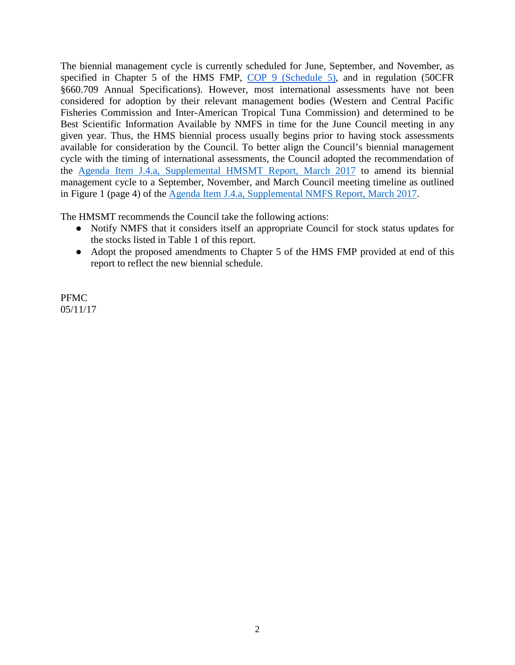The biennial management cycle is currently scheduled for June, September, and November, as specified in Chapter 5 of the HMS FMP, [COP 9 \(Schedule 5\),](http://www.pcouncil.org/wp-content/uploads/2016/10/cop9.pdf) [and](http://www.pcouncil.org/wp-content/uploads/2016/10/cop9.pdf) [i](http://www.pcouncil.org/wp-content/uploads/2016/10/cop9.pdf)n [regulation](http://www.pcouncil.org/wp-content/uploads/2016/10/cop9.pdf) ([50CFR](http://www.pcouncil.org/wp-content/uploads/2016/10/cop9.pdf) §660.709 Annual Specifications). However, most international assessments have not been considered for adoption by their relevant management bodies (Western and Central Pacific Fisheries Commission and Inter-American Tropical Tuna Commission) and determined to be Best Scientific Information Available by NMFS in time for the June Council meeting in any given year. Thus, the HMS biennial process usually begins prior to having stock assessments available for consideration by the Council. To better align the Council's biennial management cycle with the timing of international assessments, the Council adopted the recommendation of the Agenda Item J.4.a, [Supplemental HMSMT Report, March 2017](http://www.pcouncil.org/wp-content/uploads/2017/03/J4a_Sup_HMSMT_Rpt_Mar2017BB.pdf) to amend its biennial management cycle to a September, November, and March Council meeting timeline as outlined in Figure 1 (page 4) of the [Agenda Item J.4.a, Supplemental NMFS Report, March 2017.](http://www.pcouncil.org/wp-content/uploads/2017/03/J4a_Sup_NMFS_Rpt_Mar2017BB.pdf)

The HMSMT recommends the Council take the following actions:

- Notify NMFS that it considers itself an appropriate Council for stock status updates for the stocks listed in Table 1 of this report.
- Adopt the proposed amendments to Chapter 5 of the HMS FMP provided at end of this report to reflect the new biennial schedule.

PFMC 05/11/17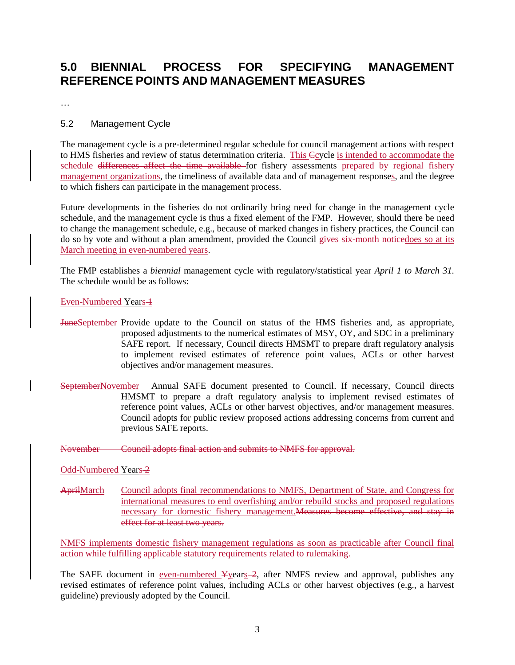# **5.0 BIENNIAL PROCESS FOR SPECIFYING MANAGEMENT REFERENCE POINTS AND MANAGEMENT MEASURES**

…

## 5.2 Management Cycle

The management cycle is a pre-determined regular schedule for council management actions with respect to HMS fisheries and review of status determination criteria. This Ccycle is intended to accommodate the schedule differences affect the time available for fishery assessments prepared by regional fishery management organizations, the timeliness of available data and of management responses, and the degree to which fishers can participate in the management process.

Future developments in the fisheries do not ordinarily bring need for change in the management cycle schedule, and the management cycle is thus a fixed element of the FMP. However, should there be need to change the management schedule, e.g., because of marked changes in fishery practices, the Council can do so by vote and without a plan amendment, provided the Council gives six-month noticedoes so at its March meeting in even-numbered years.

The FMP establishes a *biennial* management cycle with regulatory/statistical year *April 1 to March 31*. The schedule would be as follows:

### Even-Numbered Years-1

- JuneSeptember Provide update to the Council on status of the HMS fisheries and, as appropriate, proposed adjustments to the numerical estimates of MSY, OY, and SDC in a preliminary SAFE report. If necessary, Council directs HMSMT to prepare draft regulatory analysis to implement revised estimates of reference point values, ACLs or other harvest objectives and/or management measures.
- SeptemberNovember Annual SAFE document presented to Council. If necessary, Council directs HMSMT to prepare a draft regulatory analysis to implement revised estimates of reference point values, ACLs or other harvest objectives, and/or management measures. Council adopts for public review proposed actions addressing concerns from current and previous SAFE reports.

November Council adopts final action and submits to NMFS for approval.

#### Odd-Numbered Years 2

AprilMarch Council adopts final recommendations to NMFS, Department of State, and Congress for international measures to end overfishing and/or rebuild stocks and proposed regulations necessary for domestic fishery management.Measures become effective, and stay in effect for at least two years.

NMFS implements domestic fishery management regulations as soon as practicable after Council final action while fulfilling applicable statutory requirements related to rulemaking.

The SAFE document in <u>even-numbered ¥years</u> 2, after NMFS review and approval, publishes any revised estimates of reference point values, including ACLs or other harvest objectives (e.g., a harvest guideline) previously adopted by the Council.